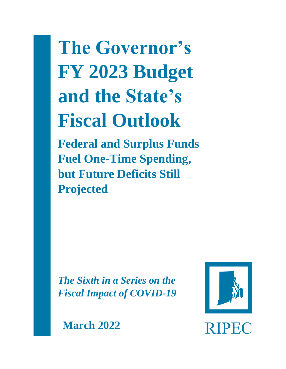**The Governor's FY 2023 Budget and the State's Fiscal Outlook**

**Federal and Surplus Funds Fuel One-Time Spending, but Future Deficits Still Projected** 

*The Sixth in a Series on the Fiscal Impact of COVID-19*



**March 2022**

**RIPEC**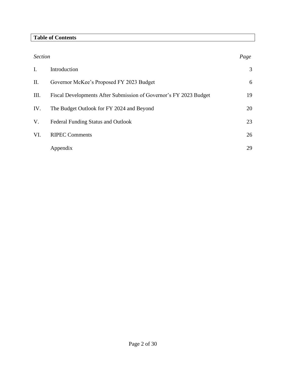# **Table of Contents**

| <b>Section</b> |                                                                   | Page |
|----------------|-------------------------------------------------------------------|------|
| $I_{\cdot}$    | Introduction                                                      | 3    |
| Π.             | Governor McKee's Proposed FY 2023 Budget                          | 6    |
| Ш.             | Fiscal Developments After Submission of Governor's FY 2023 Budget | 19   |
| IV.            | The Budget Outlook for FY 2024 and Beyond                         | 20   |
| V.             | Federal Funding Status and Outlook                                | 23   |
| VI.            | <b>RIPEC Comments</b>                                             | 26   |
|                | Appendix                                                          | 29   |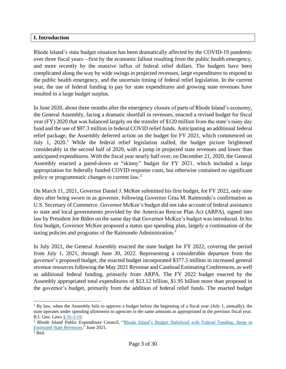#### **I. Introduction**

Rhode Island's state budget situation has been dramatically affected by the COVID-19 pandemic over three fiscal years—first by the economic fallout resulting from the public health emergency, and more recently by the massive influx of federal relief dollars. The budgets have been complicated along the way by wide swings in projected revenues, large expenditures to respond to the public health emergency, and the uncertain timing of federal relief legislation. In the current year, the use of federal funding to pay for state expenditures and growing state revenues have resulted in a large budget surplus.

In June 2020, about three months after the emergency closure of parts of Rhode Island's economy, the General Assembly, facing a dramatic shortfall in revenues, enacted a revised budget for fiscal year (FY) 2020 that was balanced largely on the transfer of \$120 million from the state's rainy day fund and the use of \$97.3 million in federal COVID relief funds. Anticipating an additional federal relief package, the Assembly deferred action on the budget for FY 2021, which commenced on July 1,  $2020$ .<sup>1</sup> While the federal relief legislation stalled, the budget picture brightened considerably in the second half of 2020, with a jump in projected state revenues and lower than anticipated expenditures. With the fiscal year nearly half over, on December 21, 2020, the General Assembly enacted a pared-down or "skinny" budget for FY 2021, which included a large appropriation for federally funded COVID response costs, but otherwise contained no significant policy or programmatic changes to current law.<sup>2</sup>

On March 11, 2021, Governor Daniel J. McKee submitted his first budget, for FY 2022, only nine days after being sworn in as governor, following Governor Gina M. Raimondo's confirmation as U.S. Secretary of Commerce. Governor McKee's budget did not take account of federal assistance to state and local governments provided by the American Rescue Plan Act (ARPA), signed into law by President Joe Biden on the same day that Governor McKee's budget was introduced. In his first budget, Governor McKee proposed a status quo spending plan, largely a continuation of the taxing policies and programs of the Raimondo Administration.<sup>3</sup>

In July 2021, the General Assembly enacted the state budget for FY 2022, covering the period from July 1, 2021, through June 30, 2022. Representing a considerable departure from the governor's proposed budget, the enacted budget incorporated \$377.5 million in increased general revenue resources following the May 2021 Revenue and Caseload Estimating Conferences, as well as additional federal funding, primarily from ARPA. The FY 2022 budget enacted by the Assembly appropriated total expenditures of \$13.12 billion, \$1.95 billion more than proposed in the governor's budget, primarily from the addition of federal relief funds. The enacted budget

 $1$  By law, when the Assembly fails to approve a budget before the beginning of a fiscal year (July 1, annually), the state operates under spending allotments to agencies in the same amounts as appropriated in the previous fiscal year. R.I. Gen. Laws [§ 35-3-19.](http://webserver.rilin.state.ri.us/Statutes/TITLE35/35-3/35-3-19.HTM)

<sup>2</sup> Rhode Island Public Expenditure Council, ["Rhode Island's Budget Stabilized with Federal Funding, Jump in](https://ripec.org/fy-2022-budget-outlook/)  [Estimated State Revenues,](https://ripec.org/fy-2022-budget-outlook/)" June 2021.

<sup>3</sup> Ibid.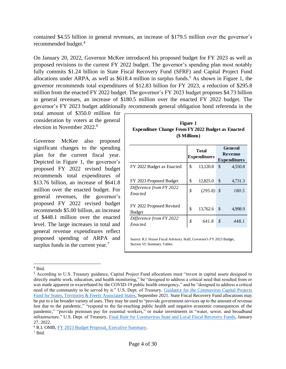contained \$4.55 billion in general revenues, an increase of \$179.5 million over the governor's recommended budget. 4

On January 20, 2022, Governor McKee introduced his proposed budget for FY 2023 as well as proposed revisions to the current FY 2022 budget. The governor's spending plan most notably fully commits \$1.24 billion in State Fiscal Recovery Fund (SFRF) and Capital Project Fund allocations under ARPA, as well as  $$618.4$  million in surplus funds.<sup>5</sup> As shown in Figure 1, the governor recommends total expenditures of \$12.83 billion for FY 2023, a reduction of \$295.8 million from the enacted FY 2022 budget. The governor's FY 2023 budget proposes \$4.73 billion in general revenues, an increase of \$180.5 million over the enacted FY 2022 budget. The governor's FY 2023 budget additionally recommends general obligation bond referenda in the

total amount of \$350.0 million for consideration by voters at the general election in November 2022. 6

Governor McKee also proposed significant changes to the spending plan for the current fiscal year. Depicted in Figure 1, the governor's proposed FY 2022 revised budget recommends total expenditures of \$13.76 billion, an increase of \$641.8 million over the enacted budget. For general revenues, the governor's proposed FY 2022 revised budget recommends \$5.00 billion, an increase of \$448.1 million over the enacted level. The large increases in total and general revenue expenditures reflect proposed spending of ARPA and surplus funds in the current year.<sup>7</sup>

| Figure 1<br><b>Expenditure Change From FY 2022 Budget as Enacted</b><br>(\$ Millions)               |    |                                     |    |                                                  |  |
|-----------------------------------------------------------------------------------------------------|----|-------------------------------------|----|--------------------------------------------------|--|
|                                                                                                     |    | <b>Total</b><br><b>Expenditures</b> |    | <b>General</b><br>Revenue<br><b>Expenditures</b> |  |
| FY 2022 Budget as Enacted                                                                           | \$ | 13,120.8                            | \$ | 4,550.8                                          |  |
| FY 2023 Proposed Budget                                                                             | \$ | 12,825.0                            | \$ | 4,731.3                                          |  |
| Difference from FY 2022<br>Enacted                                                                  | \$ | (295.8)                             | \$ | 180.5                                            |  |
| FY 2022 Proposed Revised<br><b>Budget</b>                                                           | \$ | 13,762.6                            | \$ | 4,998.9                                          |  |
| Difference from FY 2022<br>Enacted                                                                  | \$ | 641.8                               | \$ | 448.1                                            |  |
| Source: R.I. House Fiscal Advisory Staff, Governor's FY 2023 Budget,<br>Section VI: Summary Tables. |    |                                     |    |                                                  |  |

<sup>4</sup> Ibid.

<sup>5</sup> According to U.S. Treasury guidance, Capital Project Fund allocations must "invest in capital assets designed to directly enable work, education, and health monitoring," be "designed to address a critical need that resulted from or was made apparent or exacerbated by the COVID-19 public health emergency," and be "designed to address a critical need of the community to be served by it." U.S. Dept. of Treasury, [Guidance for the Coronavirus Capital Projects](https://home.treasury.gov/system/files/136/Capital-Projects-Fund-Guidance-States-Territories-and-Freely-Associated-States.pdf)  [Fund for States, Territories & Freely Associated States,](https://home.treasury.gov/system/files/136/Capital-Projects-Fund-Guidance-States-Territories-and-Freely-Associated-States.pdf) September 2021. State Fiscal Recovery Fund allocations may be put to a far broader variety of uses. They may be used to "provide government services up to the amount of revenue lost due to the pandemic," "respond to the far-reaching public health and negative economic consequences of the pandemic," "provide premium pay for essential workers," or make investments in "water, sewer, and broadband infrastructure." U.S. Dept. of Treasury, [Final Rule for Coronavirus State and Local Fiscal Recovery Funds,](https://www.govinfo.gov/content/pkg/FR-2022-01-27/pdf/2022-00292.pdf) January 27, 2022.

<sup>6</sup> R.I. OMB, [FY 2023 Budget Proposal, Executive Summary.](http://omb.ri.gov/documents/Prior%20Year%20Budgets/Operating%20Budget%202023/ExecutiveSummary/0_Complete%20FY%202023%20Executive%20Summary.pdf)

<sup>7</sup> Ibid.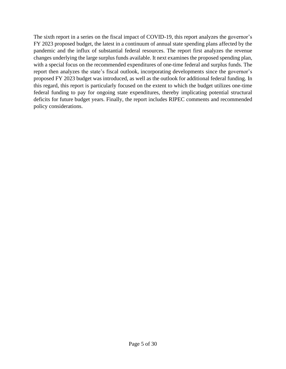The sixth report in a series on the fiscal impact of COVID-19, this report analyzes the governor's FY 2023 proposed budget, the latest in a continuum of annual state spending plans affected by the pandemic and the influx of substantial federal resources. The report first analyzes the revenue changes underlying the large surplus funds available. It next examines the proposed spending plan, with a special focus on the recommended expenditures of one-time federal and surplus funds. The report then analyzes the state's fiscal outlook, incorporating developments since the governor's proposed FY 2023 budget was introduced, as well as the outlook for additional federal funding. In this regard, this report is particularly focused on the extent to which the budget utilizes one-time federal funding to pay for ongoing state expenditures, thereby implicating potential structural deficits for future budget years. Finally, the report includes RIPEC comments and recommended policy considerations.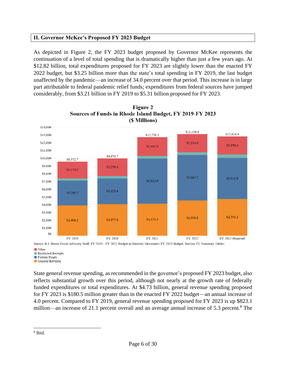# **II. Governor McKee's Proposed FY 2023 Budget**

As depicted in Figure 2, the FY 2023 budget proposed by Governor McKee represents the continuation of a level of total spending that is dramatically higher than just a few years ago. At \$12.82 billion, total expenditures proposed for FY 2023 are slightly lower than the enacted FY 2022 budget, but \$3.25 billion more than the state's total spending in FY 2019, the last budget unaffected by the pandemic—an increase of 34.0 percent over that period. This increase is in large part attributable to federal pandemic relief funds; expenditures from federal sources have jumped considerably, from \$3.21 billion in FY 2019 to \$5.31 billion proposed for FY 2023.





**Other** Restricted Receipts

Federal Funds

General Revenue

State general revenue spending, as recommended in the governor's proposed FY 2023 budget, also reflects substantial growth over this period, although not nearly at the growth rate of federally funded expenditures or total expenditures. At \$4.73 billion, general revenue spending proposed for FY 2023 is \$180.5 million greater than in the enacted FY 2022 budget—an annual increase of 4.0 percent. Compared to FY 2019, general revenue spending proposed for FY 2023 is up \$823.1 million—an increase of 21.1 percent overall and an average annual increase of 5.3 percent.<sup>8</sup> The

<sup>8</sup> Ibid.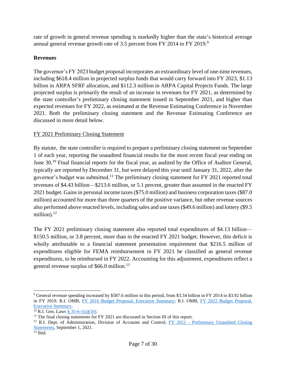rate of growth in general revenue spending is markedly higher than the state's historical average annual general revenue growth rate of 3.5 percent from FY 2014 to FY 2019.<sup>9</sup>

# **Revenues**

The governor's FY 2023 budget proposal incorporates an extraordinary level of one-time revenues, including \$618.4 million in projected surplus funds that would carry forward into FY 2023, \$1.13 billion in ARPA SFRF allocation, and \$112.3 million in ARPA Capital Projects Funds. The large projected surplus is primarily the result of an increase in revenues for FY 2021, as determined by the state controller's preliminary closing statement issued in September 2021, and higher than expected revenues for FY 2022, as estimated at the Revenue Estimating Conference in November 2021. Both the preliminary closing statement and the Revenue Estimating Conference are discussed in more detail below.

# FY 2021 Preliminary Closing Statement

By statute, the state controller is required to prepare a preliminary closing statement on September 1 of each year, reporting the unaudited financial results for the most recent fiscal year ending on June 30.<sup>10</sup> Final financial reports for the fiscal year, as audited by the Office of Auditor General, typically are reported by December 31, but were delayed this year until January 31, 2022, after the governor's budget was submitted.<sup>11</sup> The preliminary closing statement for FY 2021 reported total revenues of \$4.43 billion—\$213.6 million, or 5.1 percent, greater than assumed in the enacted FY 2021 budget. Gains in personal income taxes (\$75.0 million) and business corporation taxes (\$87.0 million) accounted for more than three quarters of the positive variance, but other revenue sources also performed above enacted levels, including sales and use taxes (\$49.6 million) and lottery (\$9.5 million).<sup>12</sup>

The FY 2021 preliminary closing statement also reported total expenditures of \$4.13 billion— \$150.5 million, or 3.8 percent, more than in the enacted FY 2021 budget. However, this deficit is wholly attributable to a financial statement presentation requirement that \$216.5 million of expenditures eligible for FEMA reimbursement in FY 2021 be classified as general revenue expenditures, to be reimbursed in FY 2022. Accounting for this adjustment, expenditures reflect a general revenue surplus of \$66.0 million.<sup>13</sup>

<sup>9</sup> General revenue spending increased by \$587.6 million in this period, from \$3.34 billion in FY 2014 to \$3.92 billion in FY 2019. R.I. OMB, [FY 2016 Budget Proposal, Executive Summary;](http://www.omb.ri.gov/documents/Prior%20Year%20Budgets/Operating%20Budget%202016/ExecutiveSummary/0_FY%202016%20Executive%20Summary.pdf) R.I. OMB, [FY 2022 Budget Proposal,](http://omb.ri.gov/documents/Prior%20Year%20Budgets/Operating%20Budget%202022/ExecutiveSummary/0_Complete%20FY%202022%20Executive%20Summary.pdf)  [Executive Summary.](http://omb.ri.gov/documents/Prior%20Year%20Budgets/Operating%20Budget%202022/ExecutiveSummary/0_Complete%20FY%202022%20Executive%20Summary.pdf)

 $10$  R.I. Gen. Laws [§ 35-6-1\(a\)\(10\).](http://webserver.rilin.state.ri.us/Statutes/TITLE35/35-6/35-6-1.HTM)

 $11$  The final closing statements for FY 2021 are discussed in Section III of this report.

<sup>&</sup>lt;sup>12</sup> R.I. Dept. of Administration, Division of Accounts and Control, FY 2021 - Preliminary Unaudited Closing [Statements,](http://controller.admin.ri.gov/documents/Closing%20Statements-Preliminary/107_FY%202021%20Closing%20Statements%20Preliminary%20Unaudited_09-01-2021.pdf) September 1, 2021.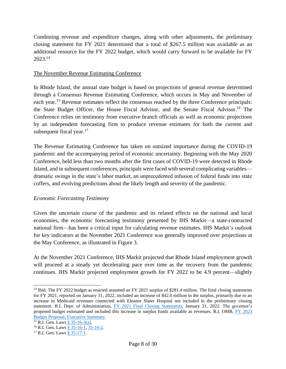Combining revenue and expenditure changes, along with other adjustments, the preliminary closing statement for FY 2021 determined that a total of \$267.5 million was available as an additional resource for the FY 2022 budget, which would carry forward to be available for FY 2023. 14

## The November Revenue Estimating Conference

In Rhode Island, the annual state budget is based on projections of general revenue determined through a Consensus Revenue Estimating Conference, which occurs in May and November of each year.<sup>15</sup> Revenue estimates reflect the consensus reached by the three Conference principals: the State Budget Officer, the House Fiscal Advisor, and the Senate Fiscal Advisor.<sup>16</sup> The Conference relies on testimony from executive branch officials as well as economic projections by an independent forecasting firm to produce revenue estimates for both the current and subsequent fiscal year. $17$ 

The Revenue Estimating Conference has taken on outsized importance during the COVID-19 pandemic and the accompanying period of economic uncertainty. Beginning with the May 2020 Conference, held less than two months after the first cases of COVID-19 were detected in Rhode Island, and in subsequent conferences, principals were faced with several complicating variables dramatic swings in the state's labor market, an unprecedented infusion of federal funds into state coffers, and evolving predictions about the likely length and severity of the pandemic.

# *Economic Forecasting Testimony*

Given the uncertain course of the pandemic and its related effects on the national and local economies, the economic forecasting testimony presented by IHS Markit—a state-contracted national firm—has been a critical input for calculating revenue estimates. IHS Markit's outlook for key indicators at the November 2021 Conference was generally improved over projections at the May Conference, as illustrated in Figure 3.

At the November 2021 Conference, IHS Markit projected that Rhode Island employment growth will proceed at a steady yet decelerating pace over time as the recovery from the pandemic continues. IHS Markit projected employment growth for FY 2022 to be 4.9 percent—slightly

<sup>&</sup>lt;sup>14</sup> Ibid. The FY 2022 budget as enacted assumed an FY 2021 surplus of \$281.4 million. The final closing statements for FY 2021, reported on January 31, 2022, included an increase of \$42.0 million in the surplus, primarily due to an increase in Medicaid revenues connected with Eleanor Slater Hospital not included in the preliminary closing statement. R.I. Dept. of Administration, [FY 2021 Final Closing Statements,](http://controller.admin.ri.gov/documents/Closing%20Statements-Final/106_FY%202021%20Closing%20Statements%20-%20Final_01-31-2022.pdf) January 31, 2022. The governor's proposed budget estimated and included this increase in surplus funds available as revenues. R.I. OMB, [FY 2023](http://omb.ri.gov/documents/Prior%20Year%20Budgets/Operating%20Budget%202023/ExecutiveSummary/0_Complete%20FY%202023%20Executive%20Summary.pdf)  [Budget Proposal, Executive Summary.](http://omb.ri.gov/documents/Prior%20Year%20Budgets/Operating%20Budget%202023/ExecutiveSummary/0_Complete%20FY%202023%20Executive%20Summary.pdf)

 $15$  [R.I. Gen. Laws](http://webserver.rilin.state.ri.us/Statutes/TITLE35/35-16/35-16-3.HTM) § 35-16-3(a).

<sup>&</sup>lt;sup>16</sup> R.I. Gen. Laws [§ 35-16-1,](http://webserver.rilin.state.ri.us/Statutes/TITLE35/35-16/35-16-1.HTM) [35-16-2.](http://webserver.rilin.state.ri.us/Statutes/TITLE35/35-16/35-16-2.HTM)

<sup>&</sup>lt;sup>17</sup> R.I. Gen. Laws [§ 35-17-1.](http://webserver.rilin.state.ri.us/Statutes/TITLE35/35-17/35-17-1.HTM)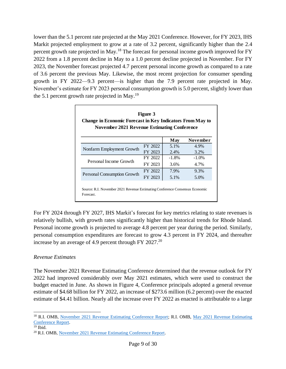lower than the 5.1 percent rate projected at the May 2021 Conference. However, for FY 2023, IHS Markit projected employment to grow at a rate of 3.2 percent, significantly higher than the 2.4 percent growth rate projected in May.<sup>18</sup> The forecast for personal income growth improved for FY 2022 from a 1.8 percent decline in May to a 1.0 percent decline projected in November. For FY 2023, the November forecast projected 4.7 percent personal income growth as compared to a rate of 3.6 percent the previous May. Likewise, the most recent projection for consumer spending growth in FY 2022—9.3 percent—is higher than the 7.9 percent rate projected in May. November's estimate for FY 2023 personal consumption growth is 5.0 percent, slightly lower than the 5.1 percent growth rate projected in May.<sup>19</sup>

| <b>Change in Economic Forecast in Key Indicators From May to</b><br><b>November 2021 Revenue Estimating Conference</b> |         |          |          |  |  |
|------------------------------------------------------------------------------------------------------------------------|---------|----------|----------|--|--|
| May<br>November                                                                                                        |         |          |          |  |  |
|                                                                                                                        | FY 2022 | 5.1%     | 4.9%     |  |  |
| Nonfarm Employment Growth                                                                                              | FY 2023 | 2.4%     | 3.2%     |  |  |
|                                                                                                                        | FY 2022 | $-1.8\%$ | $-1.0\%$ |  |  |
| Personal Income Growth                                                                                                 | FY 2023 | 3.6%     | 4.7%     |  |  |
|                                                                                                                        | FY 2022 | 7.9%     | 9.3%     |  |  |
| <b>Personal Consumption Growth</b>                                                                                     | FY 2023 | 5.1%     | 5.0%     |  |  |

For FY 2024 through FY 2027, IHS Markit's forecast for key metrics relating to state revenues is relatively bullish, with growth rates significantly higher than historical trends for Rhode Island. Personal income growth is projected to average 4.8 percent per year during the period. Similarly, personal consumption expenditures are forecast to grow 4.3 percent in FY 2024, and thereafter increase by an average of 4.9 percent through FY 2027.<sup>20</sup>

## *Revenue Estimates*

The November 2021 Revenue Estimating Conference determined that the revenue outlook for FY 2022 had improved considerably over May 2021 estimates, which were used to construct the budget enacted in June. As shown in Figure 4, Conference principals adopted a general revenue estimate of \$4.68 billion for FY 2022, an increase of \$273.6 million (6.2 percent) over the enacted estimate of \$4.41 billion. Nearly all the increase over FY 2022 as enacted is attributable to a large

<sup>&</sup>lt;sup>18</sup> R.I. OMB, [November 2021 Revenue Estimating Conference Report;](http://www.omb.ri.gov/documents/revenues/conference/6010_November%202021%20Revenue%20Estimating%20Conference%20Report.pdf) R.I. OMB, May 2021 Revenue Estimating [Conference Report.](http://www.omb.ri.gov/documents/revenues/conference/6000_May%202021%20Revenue%20Estimating%20Conference%20Report.pdf)

 $19$  Ibid.

<sup>20</sup> R.I. OMB, [November 2021 Revenue Estimating Conference Report.](http://www.omb.ri.gov/documents/revenues/conference/6010_November%202021%20Revenue%20Estimating%20Conference%20Report.pdf)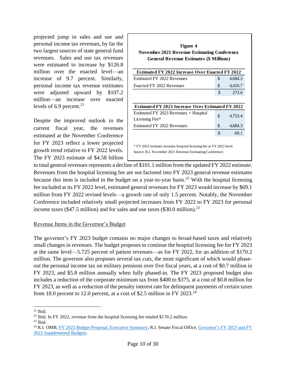projected jump in sales and use and personal income tax revenues, by far the two largest sources of state general fund revenues. Sales and use tax revenues were estimated to increase by \$126.8 million over the enacted level—an increase of 9.7 percent. Similarly, personal income tax revenue estimates were adjusted upward by \$107.2 million—an increase over enacted levels of 6.9 percent. $2<sup>1</sup>$ 

Despite the improved outlook in the current fiscal year, the revenues estimated at the November Conference for FY 2023 reflect a lower projected growth trend relative to FY 2022 levels. The FY 2023 estimate of \$4.58 billion

| Figure 4<br>November 2021 Revenue Estimating Conference<br><b>General Revenue Estimates (\$ Millions)</b>                        |    |         |  |  |
|----------------------------------------------------------------------------------------------------------------------------------|----|---------|--|--|
| <b>Estimated FY 2022 Increase Over Enacted FY 2022</b>                                                                           |    |         |  |  |
| Estimated FY 2022 Revenues                                                                                                       | \$ | 4,684.3 |  |  |
| Enacted FY 2022 Revenues                                                                                                         | \$ | 4,410.7 |  |  |
|                                                                                                                                  | \$ | 273.6   |  |  |
| <b>Estimated FY 2023 Increase Over Estimated FY 2022</b>                                                                         |    |         |  |  |
| Estimated FY 2023 Revenues + Hospital<br>Licensing Fee*                                                                          | \$ | 4,753.4 |  |  |
| Estimated FY 2022 Revenues                                                                                                       | \$ | 4,684.3 |  |  |
|                                                                                                                                  | \$ | 69.1    |  |  |
| * FY 2023 estimate assumes hospital licensing fee at FY 2022 level.<br>Source: R.I. November 2021 Revenue Estimating Conference. |    |         |  |  |

in total general revenues represents a decline of \$101.1 million from the updated FY 2022 estimate. Revenues from the hospital licensing fee are not factored into FY 2023 general revenue estimates because this item is included in the budget on a year-to-year basis.<sup>22</sup> With the hospital licensing fee included at its FY 2022 level, estimated general revenues for FY 2023 would increase by \$69.1 million from FY 2022 revised levels—a growth rate of only 1.5 percent. Notably, the November Conference included relatively small projected increases from FY 2022 to FY 2023 for personal income taxes (\$47.5 million) and for sales and use taxes (\$30.0 million).<sup>23</sup>

## Revenue Items in the Governor's Budget

The governor's FY 2023 budget contains no major changes to broad-based taxes and relatively small changes in revenues. The budget proposes to continue the hospital licensing fee for FY 2023 at the same level—5.725 percent of patient revenues—as for FY 2022, for an addition of \$170.2 million. The governor also proposes several tax cuts, the most significant of which would phaseout the personal income tax on military pensions over five fiscal years, at a cost of \$0.7 million in FY 2023, and \$5.8 million annually when fully phased-in. The FY 2023 proposed budget also includes a reduction of the corporate minimum tax from \$400 to \$375, at a cost of \$0.8 million for FY 2023, as well as a reduction of the penalty interest rate for delinquent payments of certain taxes from 18.0 percent to 12.0 percent, at a cost of \$2.5 million in FY 2023.<sup>24</sup>

 $21$  Ibid.

 $^{22}$  Ibid. In FY 2022, revenue from the hospital licensing fee totaled \$170.2 million.

 $23$  Ibid.

<sup>&</sup>lt;sup>24</sup> R.I. OMB, [FY 2023 Budget Proposal, Executive Summary;](http://omb.ri.gov/documents/Prior%20Year%20Budgets/Operating%20Budget%202023/ExecutiveSummary/0_Complete%20FY%202023%20Executive%20Summary.pdf) R.I. Senate Fiscal Office, Governor's FY 2023 and FY [2022 Supplemental Budgets.](https://www.rilegislature.gov/sfiscal/Budget%20Analyses/FY2023%20Governor%27s%20Budget%20Articles.pdf)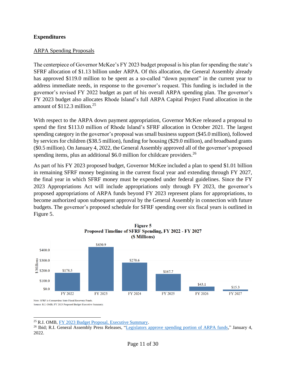## **Expenditures**

### ARPA Spending Proposals

The centerpiece of Governor McKee's FY 2023 budget proposal is his plan for spending the state's SFRF allocation of \$1.13 billion under ARPA. Of this allocation, the General Assembly already has approved \$119.0 million to be spent as a so-called "down payment" in the current year to address immediate needs, in response to the governor's request. This funding is included in the governor's revised FY 2022 budget as part of his overall ARPA spending plan. The governor's FY 2023 budget also allocates Rhode Island's full ARPA Capital Project Fund allocation in the amount of \$112.3 million. 25

With respect to the ARPA down payment appropriation, Governor McKee released a proposal to spend the first \$113.0 million of Rhode Island's SFRF allocation in October 2021. The largest spending category in the governor's proposal was small business support (\$45.0 million), followed by services for children (\$38.5 million), funding for housing (\$29.0 million), and broadband grants (\$0.5 million). On January 4, 2022, the General Assembly approved all of the governor's proposed spending items, plus an additional \$6.0 million for childcare providers.<sup>26</sup>

As part of his FY 2023 proposed budget, Governor McKee included a plan to spend \$1.01 billion in remaining SFRF money beginning in the current fiscal year and extending through FY 2027, the final year in which SFRF money must be expended under federal guidelines. Since the FY 2023 Appropriations Act will include appropriations only through FY 2023, the governor's proposed appropriations of ARPA funds beyond FY 2023 represent plans for appropriations, to become authorized upon subsequent approval by the General Assembly in connection with future budgets. The governor's proposed schedule for SFRF spending over six fiscal years is outlined in Figure 5.



<sup>25</sup> R.I. OMB, [FY 2023 Budget Proposal, Executive Summary.](http://omb.ri.gov/documents/Prior%20Year%20Budgets/Operating%20Budget%202023/ExecutiveSummary/0_Complete%20FY%202023%20Executive%20Summary.pdf)

<sup>&</sup>lt;sup>26</sup> Ibid; R.I. General Assembly Press Releases, ["Legislators approve spending portion of ARPA funds,](https://www.rilegislature.gov/pressrelease/_layouts/15/ril.pressrelease.inputform/DisplayForm.aspx?List=c8baae31-3c10-431c-8dcd-9dbbe21ce3e9&ID=372245)" January 4, 2022.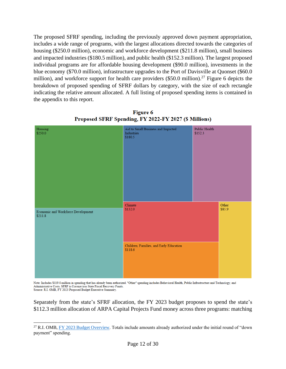The proposed SFRF spending, including the previously approved down payment appropriation, includes a wide range of programs, with the largest allocations directed towards the categories of housing (\$250.0 million), economic and workforce development (\$211.8 million), small business and impacted industries (\$180.5 million), and public health (\$152.3 million). The largest proposed individual programs are for affordable housing development (\$90.0 million), investments in the blue economy (\$70.0 million), infrastructure upgrades to the Port of Davisville at Quonset (\$60.0 million), and workforce support for health care providers  $(\$50.0$  million).<sup>27</sup> Figure 6 depicts the breakdown of proposed spending of SFRF dollars by category, with the size of each rectangle indicating the relative amount allocated. A full listing of proposed spending items is contained in the appendix to this report.



**Figure 6** Proposed SFRF Spending, FY 2022-FY 2027 (\$ Millions)

Note: Includes \$119.0 million in spending that has already been authorized. "Other" spending includes Behavioral Health, Public Infrastructure and Technology, and Administrative Costs. SFRF is Coronavirus State Fiscal Recovery Funds. Source: R.I. OMB, FY 2023 Proposed Budget Executive Summary

Separately from the state's SFRF allocation, the FY 2023 budget proposes to spend the state's \$112.3 million allocation of ARPA Capital Projects Fund money across three programs: matching

<sup>&</sup>lt;sup>27</sup> R.I. OMB, [FY 2023 Budget Overview.](http://omb.ri.gov/documents/Prior%20Year%20Budgets/Operating%20Budget%202023/0_FY%202023%20Budget%20Media%20Presentation.pdf) Totals include amounts already authorized under the initial round of "down payment" spending.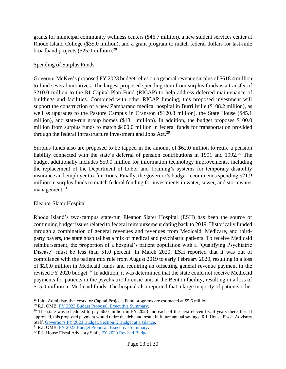grants for municipal community wellness centers (\$46.7 million), a new student services center at Rhode Island College (\$35.0 million), and a grant program to match federal dollars for last-mile broadband projects  $(\$25.0$  million).<sup>28</sup>

## Spending of Surplus Funds

Governor McKee's proposed FY 2023 budget relies on a general revenue surplus of \$618.4 million to fund several initiatives. The largest proposed spending item from surplus funds is a transfer of \$210.0 million to the RI Capital Plan Fund (RICAP) to help address deferred maintenance of buildings and facilities. Combined with other RICAP funding, this proposed investment will support the construction of a new Zambarano medical hospital in Burrillville (\$108.2 million), as well as upgrades to the Pastore Campus in Cranston (\$120.8 million), the State House (\$45.1 million), and state-run group homes (\$13.1 million). In addition, the budget proposes \$100.0 million from surplus funds to match \$400.0 million in federal funds for transportation provided through the federal Infrastructure Investment and Jobs Act.<sup>29</sup>

Surplus funds also are proposed to be tapped in the amount of \$62.0 million to retire a pension liability connected with the state's deferral of pension contributions in 1991 and 1992.<sup>30</sup> The budget additionally includes \$50.0 million for information technology improvements, including the replacement of the Department of Labor and Training's systems for temporary disability insurance and employer tax functions. Finally, the governor's budget recommends spending \$21.9 million in surplus funds to match federal funding for investments in water, sewer, and stormwater management.<sup>31</sup>

# Eleanor Slater Hospital

Rhode Island's two-campus state-run Eleanor Slater Hospital (ESH) has been the source of continuing budget issues related to federal reimbursement dating back to 2019. Historically funded through a combination of general revenues and revenues from Medicaid, Medicare, and thirdparty payers, the state hospital has a mix of medical and psychiatric patients. To receive Medicaid reimbursement, the proportion of a hospital's patient population with a "Qualifying Psychiatric Disease" must be less than 51.0 percent. In March 2020, ESH reported that it was out of compliance with the patient mix rule from August 2019 to early February 2020, resulting in a loss of \$20.0 million in Medicaid funds and requiring an offsetting general revenue payment in the revised FY 2020 budget.<sup>32</sup> In addition, it was determined that the state could not receive Medicaid payments for patients in the psychiatric forensic unit at the Benton facility, resulting in a loss of \$15.0 million in Medicaid funds. The hospital also reported that a large majority of patients other

 $^{28}$  Ibid. Administrative costs for Capital Projects Fund programs are estimated at \$5.6 million.

<sup>29</sup> R.I. OMB, [FY 2023 Budget Proposal, Executive Summary.](http://omb.ri.gov/documents/Prior%20Year%20Budgets/Operating%20Budget%202023/ExecutiveSummary/0_Complete%20FY%202023%20Executive%20Summary.pdf)

<sup>&</sup>lt;sup>30</sup> The state was scheduled to pay \$6.0 million in FY 2023 and each of the next eleven fiscal years thereafter. If approved, this proposed payment would retire the debt and result in future annual savings. R.I. House Fiscal Advisory Staff, [Governor's FY 2023 Budget, Section I: Budget at a Glance.](https://www.rilegislature.gov/housefiscalreport/2020/FY%202023%20Budget%20Analysis%20%20Section%20I%20Budget%20at%20a%20Glance.docx.pdf)

<sup>31</sup> R.I. OMB, [FY 2023 Budget Proposal, Executive Summary.](http://omb.ri.gov/documents/Prior%20Year%20Budgets/Operating%20Budget%202023/ExecutiveSummary/0_Complete%20FY%202023%20Executive%20Summary.pdf)

<sup>&</sup>lt;sup>32</sup> R.I. House Fiscal Advisory Staff, [FY 2020 Revised Budget.](https://www.rilegislature.gov/housefiscalreport/Budget%20Analyses/2020%20Session/2020-H%207170,%20Sub%20A,%20as%20Amended%20-%20Updated.pdf)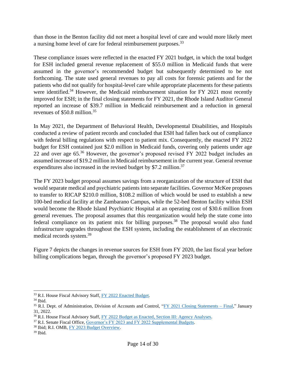than those in the Benton facility did not meet a hospital level of care and would more likely meet a nursing home level of care for federal reimbursement purposes.<sup>33</sup>

These compliance issues were reflected in the enacted FY 2021 budget, in which the total budget for ESH included general revenue replacement of \$55.0 million in Medicaid funds that were assumed in the governor's recommended budget but subsequently determined to be not forthcoming. The state used general revenues to pay all costs for forensic patients and for the patients who did not qualify for hospital-level care while appropriate placements for these patients were identified.<sup>34</sup> However, the Medicaid reimbursement situation for FY 2021 most recently improved for ESH; in the final closing statements for FY 2021, the Rhode Island Auditor General reported an increase of \$39.7 million in Medicaid reimbursement and a reduction in general revenues of \$50.8 million.<sup>35</sup>

In May 2021, the Department of Behavioral Health, Developmental Disabilities, and Hospitals conducted a review of patient records and concluded that ESH had fallen back out of compliance with federal billing regulations with respect to patient mix. Consequently, the enacted FY 2022 budget for ESH contained just \$2.0 million in Medicaid funds, covering only patients under age 22 and over age 65.<sup>36</sup> However, the governor's proposed revised FY 2022 budget includes an assumed increase of \$19.2 million in Medicaid reimbursement in the current year. General revenue expenditures also increased in the revised budget by \$7.2 million.<sup>37</sup>

The FY 2023 budget proposal assumes savings from a reorganization of the structure of ESH that would separate medical and psychiatric patients into separate facilities. Governor McKee proposes to transfer to RICAP \$210.0 million, \$108.2 million of which would be used to establish a new 100-bed medical facility at the Zambarano Campus, while the 52-bed Benton facility within ESH would become the Rhode Island Psychiatric Hospital at an operating cost of \$30.6 million from general revenues. The proposal assumes that this reorganization would help the state come into federal compliance on its patient mix for billing purposes.<sup>38</sup> The proposal would also fund infrastructure upgrades throughout the ESH system, including the establishment of an electronic medical records system.<sup>39</sup>

Figure 7 depicts the changes in revenue sources for ESH from FY 2020, the last fiscal year before billing complications began, through the governor's proposed FY 2023 budget.

<sup>33</sup> R.I. House Fiscal Advisory Staff, [FY 2022 Enacted Budget.](https://www.rilegislature.gov/housefiscalreport/2020/2020-H%207170,%20Sub%20A,%20as%20Amended%20-%20Updated.pdf)

 $34$  Ibid.

<sup>&</sup>lt;sup>35</sup> R.I. Dept. of Administration, Division of Accounts and Control, ["FY 2021 Closing Statements –](http://controller.admin.ri.gov/documents/Closing%20Statements-Final/106_FY%202021%20Closing%20Statements%20-%20Final_01-31-2022.pdf) Final," January 31, 2022.

<sup>&</sup>lt;sup>36</sup> R.I. House Fiscal Advisory Staff, [FY 2022 Budget as Enacted, Section III: Agency Analyses.](https://www.rilegislature.gov/housefiscalreport/2020/FY%202022%20Budget%20Enacted%20Section%20III%20Agency%20Analyses.pdf)

<sup>&</sup>lt;sup>37</sup> R.I. Senate Fiscal Office, [Governor's FY 2023 and FY 2022 Supplemental Budgets.](https://www.rilegislature.gov/sfiscal/Budget%20Analyses/FY2023%20Governor%27s%20Budget%20Articles.pdf)

<sup>38</sup> Ibid; R.I. OMB[, FY 2023 Budget Overview.](http://omb.ri.gov/documents/Prior%20Year%20Budgets/Operating%20Budget%202023/0_FY%202023%20Budget%20Media%20Presentation.pdf)

 $39$  Ibid.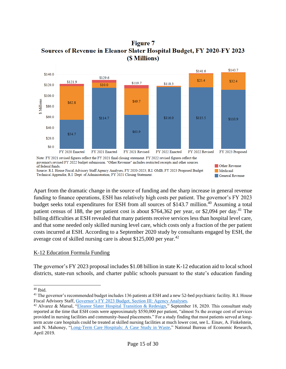**Figure 7** Sources of Revenue in Eleanor Slater Hospital Budget, FY 2020-FY 2023 (\$ Millions)



Technical Appendix; R.I. Dept. of Administration, FY 2021 Closing Statement.

Apart from the dramatic change in the source of funding and the sharp increase in general revenue funding to finance operations, ESH has relatively high costs per patient. The governor's FY 2023 budget seeks total expenditures for ESH from all sources of \$143.7 million.<sup>40</sup> Assuming a total patient census of 188, the per patient cost is about \$764,362 per year, or \$2,094 per day.<sup>41</sup> The billing difficulties at ESH revealed that many patients receive services less than hospital level care, and that some needed only skilled nursing level care, which costs only a fraction of the per patient costs incurred at ESH. According to a September 2020 study by consultants engaged by ESH, the average cost of skilled nursing care is about  $$125,000$  per year.<sup>42</sup>

General Revenue

# K-12 Education Formula Funding

The governor's FY 2023 proposal includes \$1.08 billion in state K-12 education aid to local school districts, state-run schools, and charter public schools pursuant to the state's education funding

<sup>40</sup> Ibid.

<sup>&</sup>lt;sup>41</sup> The governor's recommended budget includes 136 patients at ESH and a new 52-bed psychiatric facility. R.I. House Fiscal Advisory Staff, [Governor's FY 2023 Budget, Section III: Agency Analyses.](https://www.rilegislature.gov/housefiscalreport/2020/FY%202023%20Budget%20Analysis%20%20Section%20III%20Agency%20Analyses.pdf)

<sup>&</sup>lt;sup>42</sup> Alvarez & Marsal, ["Eleanor Slater Hospital Transition & Redesign,](https://www.rilegislature.gov/Special/comdoc/House%20Finance/AM%20ESH%20Redesign%20Proposal%2020200918.pdf)" September 18, 2020. This consultant study reported at the time that ESH costs were approximately \$550,000 per patient, "almost 5x the average cost of services provided in nursing facilities and community-based placements." For a study finding that most patients served at longterm acute care hospitals could be treated at skilled nursing facilities at much lower cost, see L. Einav, A. Finkelstein, and N. Mahoney, ["Long-Term Care Hospitals: A Case Study in Waste,](https://www.nber.org/papers/w24946)" National Bureau of Economic Research, April 2019.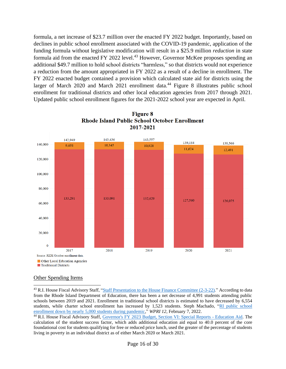formula, a net increase of \$23.7 million over the enacted FY 2022 budget. Importantly, based on declines in public school enrollment associated with the COVID-19 pandemic, application of the funding formula without legislative modification will result in a \$25.9 million *reduction* in state formula aid from the enacted FY 2022 level.<sup>43</sup> However, Governor McKee proposes spending an additional \$49.7 million to hold school districts "harmless," so that districts would not experience a reduction from the amount appropriated in FY 2022 as a result of a decline in enrollment. The FY 2022 enacted budget contained a provision which calculated state aid for districts using the larger of March 2020 and March 2021 enrollment data.<sup>44</sup> Figure 8 illustrates public school enrollment for traditional districts and other local education agencies from 2017 through 2021. Updated public school enrollment figures for the 2021-2022 school year are expected in April.



**Figure 8 Rhode Island Public School October Enrollment** 2017-2021

## Other Spending Items

<sup>&</sup>lt;sup>43</sup> R.I. House Fiscal Advisory Staff, ["Staff Presentation to the House Finance Committee \(2-3-22\).](https://www.rilegislature.gov/housefiscalreport/2020/Governor)" According to data from the Rhode Island Department of Education, there has been a net decrease of 4,991 students attending public schools between 2019 and 2021. Enrollment in traditional school districts is estimated to have decreased by 6,554 students, while charter school enrollment has increased by 1,523 students. Steph Machado, ["RI public school](https://www.wpri.com/target-12/ri-public-school-enrollment-down-by-nearly-5000-students-during-pandemic/)  [enrollment down by nearly 5,000 students during pandemic,"](https://www.wpri.com/target-12/ri-public-school-enrollment-down-by-nearly-5000-students-during-pandemic/) *WPRI 12*, February 7, 2022.

<sup>44</sup> R.I. House Fiscal Advisory Staff, [Governor's FY 2023 Budget, Section VI: Special Reports -](https://www.rilegislature.gov/housefiscalreport/2020/FY%202023%20Budget%20Analysis%20Section%20VI%20Special%20Reports%20-%20Education%20Aid.pdf) Education Aid. The calculation of the student success factor, which adds additional education aid equal to 40.0 percent of the core foundational cost for students qualifying for free or reduced price lunch, used the greater of the percentage of students living in poverty in an individual district as of either March 2020 or March 2021.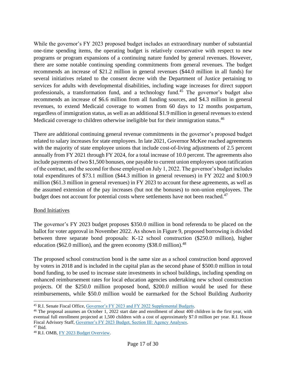While the governor's FY 2023 proposed budget includes an extraordinary number of substantial one-time spending items, the operating budget is relatively conservative with respect to new programs or program expansions of a continuing nature funded by general revenues. However, there are some notable continuing spending commitments from general revenues. The budget recommends an increase of \$21.2 million in general revenues (\$44.0 million in all funds) for several initiatives related to the consent decree with the Department of Justice pertaining to services for adults with developmental disabilities, including wage increases for direct support professionals, a transformation fund, and a technology fund.<sup>45</sup> The governor's budget also recommends an increase of \$6.6 million from all funding sources, and \$4.3 million in general revenues, to extend Medicaid coverage to women from 60 days to 12 months postpartum, regardless of immigration status, as well as an additional \$1.9 million in general revenues to extend Medicaid coverage to children otherwise ineligible but for their immigration status.<sup>46</sup>

There are additional continuing general revenue commitments in the governor's proposed budget related to salary increases for state employees. In late 2021, Governor McKee reached agreements with the majority of state employee unions that include cost-of-living adjustments of 2.5 percent annually from FY 2021 through FY 2024, for a total increase of 10.0 percent. The agreements also include payments of two \$1,500 bonuses, one payable to current union employees upon ratification of the contract, and the second for those employed on July 1, 2022. The governor's budget includes total expenditures of \$73.1 million (\$44.3 million in general revenues) in FY 2022 and \$100.9 million (\$61.3 million in general revenues) in FY 2023 to account for these agreements, as well as the assumed extension of the pay increases (but not the bonuses) to non-union employees. The budget does not account for potential costs where settlements have not been reached.<sup>47</sup>

# Bond Initiatives

The governor's FY 2023 budget proposes \$350.0 million in bond referenda to be placed on the ballot for voter approval in November 2022. As shown in Figure 9, proposed borrowing is divided between three separate bond proposals: K-12 school construction (\$250.0 million), higher education (\$62.0 million), and the green economy (\$38.0 million). $^{48}$ 

The proposed school construction bond is the same size as a school construction bond approved by voters in 2018 and is included in the capital plan as the second phase of \$500.0 million in total bond funding, to be used to increase state investments in school buildings, including spending on enhanced reimbursement rates for local education agencies undertaking new school construction projects. Of the \$250.0 million proposed bond, \$200.0 million would be used for these reimbursements, while \$50.0 million would be earmarked for the School Building Authority

 $47$  Ibid.

<sup>45</sup> R.I. Senate Fiscal Office, [Governor's FY 2023 and FY 2022 Supplemental Budgets.](https://www.rilegislature.gov/sfiscal/Budget%20Analyses/FY2023%20Governor%27s%20Budget%20Articles.pdf)

<sup>46</sup> The proposal assumes an October 1, 2022 start date and enrollment of about 400 children in the first year, with eventual full enrollment projected at 1,500 children with a cost of approximately \$7.0 million per year. R.I. House Fiscal Advisory Staff, [Governor's FY 2023 Budget, Section III: Agency Analyses.](https://www.rilegislature.gov/housefiscalreport/2020/FY%202023%20Budget%20Analysis%20%20Section%20III%20Agency%20Analyses.pdf)

<sup>48</sup> R.I. OMB, [FY 2023 Budget Overview.](http://omb.ri.gov/documents/Prior%20Year%20Budgets/Operating%20Budget%202023/0_FY%202023%20Budget%20Media%20Presentation.pdf)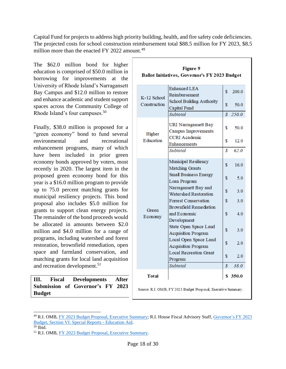Capital Fund for projects to address high priority building, health, and fire safety code deficiencies. The projected costs for school construction reimbursement total \$88.5 million for FY 2023, \$8.5 million more than the enacted FY 2022 amount.<sup>49</sup>

The \$62.0 million bond for higher education is comprised of \$50.0 million in borrowing for improvements at the University of Rhode Island's Narragansett Bay Campus and \$12.0 million to restore and enhance academic and student support spaces across the Community College of Rhode Island's four campuses.<sup>50</sup>

Finally, \$38.0 million is proposed for a "green economy" bond to fund several environmental and recreational enhancement programs, many of which have been included in prior green economy bonds approved by voters, most recently in 2020. The largest item in the proposed green economy bond for this year is a \$16.0 million program to provide up to 75.0 percent matching grants for municipal resiliency projects. This bond proposal also includes \$5.0 million for grants to support clean energy projects. The remainder of the bond proceeds would be allocated in amounts between \$2.0 million and \$4.0 million for a range of programs, including watershed and forest restoration, brownfield remediation, open space and farmland conservation, and matching grants for local land acquisition and recreation development.<sup>51</sup>

| III. Fiscal Developments After |  |  |                                  |  |  |
|--------------------------------|--|--|----------------------------------|--|--|
|                                |  |  | Submission of Governor's FY 2023 |  |  |
| <b>Budget</b>                  |  |  |                                  |  |  |

| <b>Figure 9</b><br>Ballot Initiatives, Governor's FY 2023 Budget |                                                              |               |       |  |
|------------------------------------------------------------------|--------------------------------------------------------------|---------------|-------|--|
| K-12 School                                                      | <b>Enhanced LEA</b><br>Reimbursement                         | \$            | 200.0 |  |
| Construction                                                     | <b>School Building Authority</b><br>Capital Fund             | \$            | 50.0  |  |
|                                                                  | Subtotal                                                     | $\mathcal{S}$ | 250.0 |  |
| Higher                                                           | URI Narragansett Bay<br>Campus Improvements                  | \$            | 50.0  |  |
| Education                                                        | <b>CCRI</b> Academic<br>Enhancements                         | \$            | 12.0  |  |
|                                                                  | Subtotal                                                     | \$            | 62.0  |  |
|                                                                  | Municipal Resiliency<br>Matching Grants                      | \$            | 16.0  |  |
|                                                                  | Small Business Energy<br>Loan Program                        | \$            | 5.0   |  |
|                                                                  | Narragansett Bay and<br>Watershed Restoration                | \$            | 3.0   |  |
|                                                                  | <b>Forrest Conservation</b><br><b>Brownfield Remediation</b> | \$            | 3.0   |  |
| Green<br>Economy                                                 | and Economic<br>Development                                  | \$            | 4.0   |  |
|                                                                  | State Open Space Land<br><b>Acquisition Program</b>          | \$            | 3.0   |  |
|                                                                  | Local Open Space Land<br><b>Acquisition Program</b>          | \$            | 2.0   |  |
|                                                                  | <b>Local Recreation Grant</b><br>Program                     | \$            | 2.0   |  |
|                                                                  | Subtotal                                                     | \$            | 38.0  |  |
| Total                                                            |                                                              | S             | 350.0 |  |
|                                                                  | Source: R.I. OMB, EV 2023 Budget Proposal, Executive Summary |               |       |  |

<sup>49</sup> R.I. OMB, [FY 2023 Budget Proposal, Executive Summary;](http://omb.ri.gov/documents/Prior%20Year%20Budgets/Operating%20Budget%202023/ExecutiveSummary/0_Complete%20FY%202023%20Executive%20Summary.pdf) R.I. House Fiscal Advisory Staff, [Governor's FY 2023](https://www.rilegislature.gov/housefiscalreport/2020/FY%202023%20Budget%20Analysis%20Section%20VI%20Special%20Reports%20-%20Education%20Aid.pdf)  [Budget, Section VI: Special Reports -](https://www.rilegislature.gov/housefiscalreport/2020/FY%202023%20Budget%20Analysis%20Section%20VI%20Special%20Reports%20-%20Education%20Aid.pdf) Education Aid.

 $\overline{50}$  Ibid.

<sup>51</sup> R.I. OMB, [FY 2023 Budget Proposal, Executive Summary.](http://omb.ri.gov/documents/Prior%20Year%20Budgets/Operating%20Budget%202023/ExecutiveSummary/0_Complete%20FY%202023%20Executive%20Summary.pdf)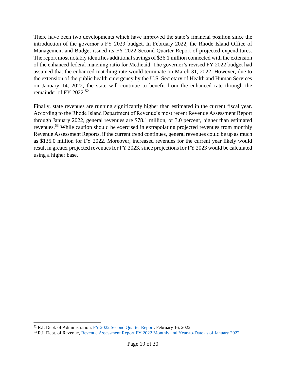There have been two developments which have improved the state's financial position since the introduction of the governor's FY 2023 budget. In February 2022, the Rhode Island Office of Management and Budget issued its FY 2022 Second Quarter Report of projected expenditures. The report most notably identifies additional savings of \$36.1 million connected with the extension of the enhanced federal matching ratio for Medicaid. The governor's revised FY 2022 budget had assumed that the enhanced matching rate would terminate on March 31, 2022. However, due to the extension of the public health emergency by the U.S. Secretary of Health and Human Services on January 14, 2022, the state will continue to benefit from the enhanced rate through the remainder of FY 2022.<sup>52</sup>

Finally, state revenues are running significantly higher than estimated in the current fiscal year. According to the Rhode Island Department of Revenue's most recent Revenue Assessment Report through January 2022, general revenues are \$78.1 million, or 3.0 percent, higher than estimated revenues.<sup>53</sup> While caution should be exercised in extrapolating projected revenues from monthly Revenue Assessment Reports, if the current trend continues, general revenues could be up as much as \$135.0 million for FY 2022. Moreover, increased revenues for the current year likely would result in greater projected revenues for FY 2023, since projections for FY 2023 would be calculated using a higher base.

<sup>&</sup>lt;sup>52</sup> R.I. Dept. of Administration, [FY 2022 Second Quarter Report,](http://www.omb.ri.gov/documents/budgetmemos/4260_02-16-22%20FY2022%20Second%20Quarter%20Report.pdf) February 16, 2022.

<sup>53</sup> R.I. Dept. of Revenue, [Revenue Assessment Report FY 2022 Monthly and Year-to-Date as of January 2022.](https://dor.ri.gov/revenue-analysis/fiscal-year-2022)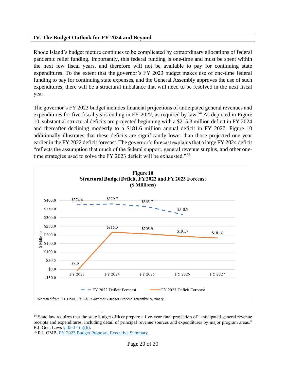## **IV. The Budget Outlook for FY 2024 and Beyond**

Rhode Island's budget picture continues to be complicated by extraordinary allocations of federal pandemic relief funding. Importantly, this federal funding is one-time and must be spent within the next few fiscal years, and therefore will not be available to pay for continuing state expenditures. To the extent that the governor's FY 2023 budget makes use of one-time federal funding to pay for continuing state expenses, and the General Assembly approves the use of such expenditures, there will be a structural imbalance that will need to be resolved in the next fiscal year.

The governor's FY 2023 budget includes financial projections of anticipated general revenues and expenditures for five fiscal years ending in FY 2027, as required by law.<sup>54</sup> As depicted in Figure 10, substantial structural deficits are projected beginning with a \$215.3 million deficit in FY 2024 and thereafter declining modestly to a \$181.6 million annual deficit in FY 2027. Figure 10 additionally illustrates that these deficits are significantly lower than those projected one year earlier in the FY 2022 deficit forecast. The governor's forecast explains that a large FY 2024 deficit "reflects the assumption that much of the federal support, general revenue surplus, and other onetime strategies used to solve the FY 2023 deficit will be exhausted."<sup>55</sup>



<sup>54</sup> State law requires that the state budget officer prepare a five-year final projection of "anticipated general revenue receipts and expenditures, including detail of principal revenue sources and expenditures by major program areas." R.I. Gen. Laws [§ 35-3-1\(a\)\(6\).](http://webserver.rilegislature.gov/Statutes/TITLE35/35-3/35-3-1.htm)

<sup>55</sup> R.I. OMB, [FY 2023 Budget Proposal, Executive Summary.](http://omb.ri.gov/documents/Prior%20Year%20Budgets/Operating%20Budget%202023/ExecutiveSummary/0_Complete%20FY%202023%20Executive%20Summary.pdf)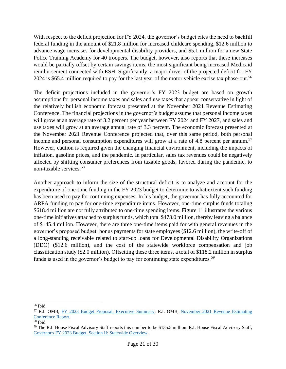With respect to the deficit projection for FY 2024, the governor's budget cites the need to backfill federal funding in the amount of \$21.8 million for increased childcare spending, \$12.6 million to advance wage increases for developmental disability providers, and \$5.1 million for a new State Police Training Academy for 40 troopers. The budget, however, also reports that these increases would be partially offset by certain savings items, the most significant being increased Medicaid reimbursement connected with ESH. Significantly, a major driver of the projected deficit for FY 2024 is \$65.4 million required to pay for the last year of the motor vehicle excise tax phase-out.<sup>56</sup>

The deficit projections included in the governor's FY 2023 budget are based on growth assumptions for personal income taxes and sales and use taxes that appear conservative in light of the relatively bullish economic forecast presented at the November 2021 Revenue Estimating Conference. The financial projections in the governor's budget assume that personal income taxes will grow at an average rate of 3.2 percent per year between FY 2024 and FY 2027, and sales and use taxes will grow at an average annual rate of 3.3 percent. The economic forecast presented at the November 2021 Revenue Conference projected that, over this same period, both personal income and personal consumption expenditures will grow at a rate of 4.8 percent per annum.<sup>57</sup> However, caution is required given the changing financial environment, including the impacts of inflation, gasoline prices, and the pandemic. In particular, sales tax revenues could be negatively affected by shifting consumer preferences from taxable goods, favored during the pandemic, to non-taxable services.<sup>58</sup>

Another approach to inform the size of the structural deficit is to analyze and account for the expenditure of one-time funding in the FY 2023 budget to determine to what extent such funding has been used to pay for continuing expenses. In his budget, the governor has fully accounted for ARPA funding to pay for one-time expenditure items. However, one-time surplus funds totaling \$618.4 million are not fully attributed to one-time spending items. Figure 11 illustrates the various one-time initiatives attached to surplus funds, which total \$473.0 million, thereby leaving a balance of \$145.4 million. However, there are three one-time items paid for with general revenues in the governor's proposed budget: bonus payments for state employees (\$12.6 million), the write-off of a long-standing receivable related to start-up loans for Developmental Disability Organizations (DDO) (\$12.6 million), and the cost of the statewide workforce compensation and job classification study (\$2.0 million). Offsetting these three items, a total of \$118.2 million in surplus funds is used in the governor's budget to pay for continuing state expenditures.<sup>59</sup>

<sup>56</sup> Ibid.

<sup>57</sup> R.I. OMB, [FY 2023 Budget Proposal, Executive Summary;](http://omb.ri.gov/documents/Prior%20Year%20Budgets/Operating%20Budget%202023/ExecutiveSummary/0_Complete%20FY%202023%20Executive%20Summary.pdf) R.I. OMB, [November 2021 Revenue Estimating](http://www.omb.ri.gov/documents/revenues/conference/6010_November%202021%20Revenue%20Estimating%20Conference%20Report.pdf)  [Conference Report.](http://www.omb.ri.gov/documents/revenues/conference/6010_November%202021%20Revenue%20Estimating%20Conference%20Report.pdf)

 $\overline{58}$  Ibid.

<sup>59</sup> The R.I. House Fiscal Advisory Staff reports this number to be \$135.5 million. R.I. House Fiscal Advisory Staff, [Governor's FY 2023 Budget, Section II: Statewide Overview.](https://www.rilegislature.gov/housefiscalreport/2020/FY%202023%20Budget%20Analysis%20%20Section%20II%20Statewide%20Overview.pdf)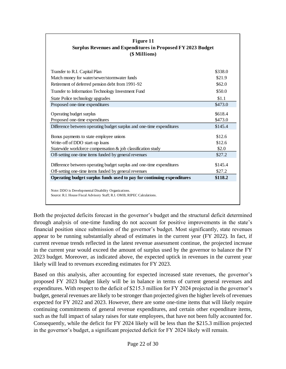| Figure 11<br>Surplus Revenues and Expenditures in Proposed FY 2023 Budget<br>(\$ Millions) |          |  |  |
|--------------------------------------------------------------------------------------------|----------|--|--|
|                                                                                            |          |  |  |
| Transfer to R.I. Capital Plan                                                              | \$338.0  |  |  |
| Match money for water/sewer/stormwater funds                                               | \$21.9   |  |  |
| Retirement of deferred pension debt from 1991-92                                           | \$62.0\$ |  |  |
| Transfer to Information Technology Investment Fund                                         | \$50.0   |  |  |
| State Police technology upgrades                                                           | \$1.1    |  |  |
| Proposed one-time expenditures                                                             | \$473.0  |  |  |
| Operating budget surplus                                                                   | \$618.4  |  |  |
| Proposed one-time expenditures                                                             | \$473.0  |  |  |
| Difference between operating budget surplus and one-time expenditures                      | \$145.4  |  |  |
| Bonus payments to state employee unions                                                    | \$12.6   |  |  |
| Write-off of DDO start-up loans                                                            | \$12.6   |  |  |
| Statewide workforce compensation & job classification study                                | \$2.0    |  |  |
| Off-setting one-time items funded by general revenues                                      | \$27.2   |  |  |
| Difference between operating budget surplus and one-time expenditures                      | \$145.4  |  |  |
| Off-setting one-time items funded by general revenues                                      | \$27.2   |  |  |
| Operating budget surplus funds used to pay for continuing expenditures                     | \$118.2  |  |  |

Both the projected deficits forecast in the governor's budget and the structural deficit determined through analysis of one-time funding do not account for positive improvements in the state's financial position since submission of the governor's budget. Most significantly, state revenues appear to be running substantially ahead of estimates in the current year (FY 2022). In fact, if current revenue trends reflected in the latest revenue assessment continue, the projected increase in the current year would exceed the amount of surplus used by the governor to balance the FY 2023 budget. Moreover, as indicated above, the expected uptick in revenues in the current year likely will lead to revenues exceeding estimates for FY 2023.

Based on this analysis, after accounting for expected increased state revenues, the governor's proposed FY 2023 budget likely will be in balance in terms of current general revenues and expenditures. With respect to the deficit of \$215.3 million for FY 2024 projected in the governor's budget, general revenues are likely to be stronger than projected given the higher levels of revenues expected for FY 2022 and 2023. However, there are some one-time items that will likely require continuing commitments of general revenue expenditures, and certain other expenditure items, such as the full impact of salary raises for state employees, that have not been fully accounted for. Consequently, while the deficit for FY 2024 likely will be less than the \$215.3 million projected in the governor's budget, a significant projected deficit for FY 2024 likely will remain.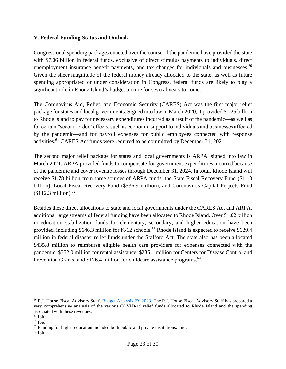## **V. Federal Funding Status and Outlook**

Congressional spending packages enacted over the course of the pandemic have provided the state with \$7.06 billion in federal funds, exclusive of direct stimulus payments to individuals, direct unemployment insurance benefit payments, and tax changes for individuals and businesses.<sup>60</sup> Given the sheer magnitude of the federal money already allocated to the state, as well as future spending appropriated or under consideration in Congress, federal funds are likely to play a significant role in Rhode Island's budget picture for several years to come.

The Coronavirus Aid, Relief, and Economic Security (CARES) Act was the first major relief package for states and local governments. Signed into law in March 2020, it provided \$1.25 billion to Rhode Island to pay for necessary expenditures incurred as a result of the pandemic—as well as for certain "second-order" effects, such as economic support to individuals and businesses affected by the pandemic—and for payroll expenses for public employees connected with response activities.<sup>61</sup> CARES Act funds were required to be committed by December 31, 2021.

The second major relief package for states and local governments is ARPA, signed into law in March 2021. ARPA provided funds to compensate for government expenditures incurred because of the pandemic and cover revenue losses through December 31, 2024. In total, Rhode Island will receive \$1.78 billion from three sources of ARPA funds: the State Fiscal Recovery Fund (\$1.13 billion), Local Fiscal Recovery Fund (\$536.9 million), and Coronavirus Capital Projects Fund (\$112.3 million). 62

Besides these direct allocations to state and local governments under the CARES Act and ARPA, additional large streams of federal funding have been allocated to Rhode Island. Over \$1.02 billion in education stabilization funds for elementary, secondary, and higher education have been provided, including  $$646.3$  million for K-12 schools.<sup>63</sup> Rhode Island is expected to receive  $$629.4$ million in federal disaster relief funds under the Stafford Act. The state also has been allocated \$435.8 million to reimburse eligible health care providers for expenses connected with the pandemic, \$352.0 million for rental assistance, \$285.1 million for Centers for Disease Control and Prevention Grants, and \$126.4 million for childcare assistance programs.<sup>64</sup>

 $^{60}$  R.I. House Fiscal Advisory Staff, [Budget Analysis FY 2023.](https://www.rilegislature.gov/housefiscalreport/Pages/hfreports2022.aspx) The R.I. House Fiscal Advisory Staff has prepared a very comprehensive analysis of the various COVID-19 relief funds allocated to Rhode Island and the spending associated with these revenues.

 $61$  Ibid.

<sup>62</sup> Ibid.

<sup>&</sup>lt;sup>63</sup> Funding for higher education included both public and private institutions. Ibid.

 $64$  Ibid.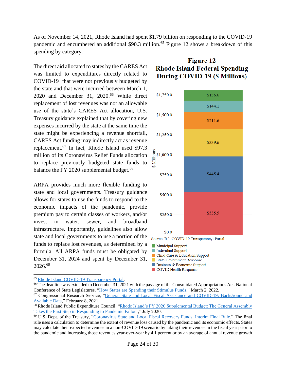As of November 14, 2021, Rhode Island had spent \$1.79 billion on responding to the COVID-19 pandemic and encumbered an additional \$90.3 million.<sup>65</sup> Figure 12 shows a breakdown of this spending by category.

The direct aid allocated to states by the CARES Act was limited to expenditures directly related to COVID-19 that were not previously budgeted by the state and that were incurred between March 1, 2020 and December 31, 2020.<sup>66</sup> While direct replacement of lost revenues was not an allowable use of the state's CARES Act allocation, U.S. Treasury guidance explained that by covering new expenses incurred by the state at the same time the state might be experiencing a revenue shortfall, CARES Act funding may indirectly act as revenue replacement.<sup>67</sup> In fact, Rhode Island used \$97.3 million of its Coronavirus Relief Funds allocation to replace previously budgeted state funds to balance the FY 2020 supplemental budget.<sup>68</sup>

ARPA provides much more flexible funding to state and local governments. Treasury guidance allows for states to use the funds to respond to the economic impacts of the pandemic, provide premium pay to certain classes of workers, and/or invest in water, sewer, and broadband infrastructure. Importantly, guidelines also allow state and local governments to use a portion of the funds to replace lost revenues, as determined by a formula. All ARPA funds must be obligated by December 31, 2024 and spent by December 31, 2026.<sup>69</sup>

# **Figure 12 Rhode Island Federal Spending** During COVID-19 (\$ Millions)



- Individual Support
- Child Care & Education Support
- **State Government Response**
- Business & Economic Support
- COVID Health Response

<sup>65</sup> [Rhode Island COVID-19 Transparency Portal.](http://www.transparency.ri.gov/covid-19/data.php)

<sup>&</sup>lt;sup>66</sup> The deadline was extended to December 31, 2021 with the passage of the Consolidated Appropriations Act. National Conference of State Legislatures, ["How States are Spending their Stimulus Funds,](https://www.ncsl.org/research/fiscal-policy/how-states-are-spending-their-stimulus-funds.aspx)" March 2, 2022.

<sup>67</sup> Congressional Research Service, ["General State and Local Fiscal Assistance and COVID-19: Background and](https://crsreports.congress.gov/product/pdf/R/R46298)  [Available Data,](https://crsreports.congress.gov/product/pdf/R/R46298)" February 8, 2021.

<sup>68</sup> Rhode Island Public Expenditure Council, "Rhode Island's FY 2020 Supplemental Budget: The General Assembly [Takes the First Step in Responding to Pandemic Fallout,"](https://www.ripec.org/pdfs/2020_Supplemental_Budget.pdf) July 2020.

<sup>69</sup> U.S. Dept. of the Treasury, ["Coronavirus State and Local Fiscal Recovery Funds, Interim Final Rule.](https://www.govinfo.gov/content/pkg/FR-2021-05-17/pdf/2021-10283.pdf)" The final rule uses a calculation to determine the extent of revenue loss caused by the pandemic and its economic effects. States may calculate their expected revenues in a non-COVID-19 scenario by taking their revenues in the fiscal year prior to the pandemic and increasing those revenues year-over-year by 4.1 percent or by an average of annual revenue growth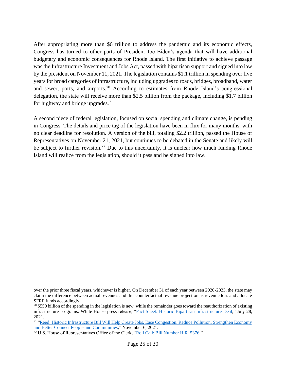After appropriating more than \$6 trillion to address the pandemic and its economic effects, Congress has turned to other parts of President Joe Biden's agenda that will have additional budgetary and economic consequences for Rhode Island. The first initiative to achieve passage was the Infrastructure Investment and Jobs Act, passed with bipartisan support and signed into law by the president on November 11, 2021. The legislation contains \$1.1 trillion in spending over five years for broad categories of infrastructure, including upgrades to roads, bridges, broadband, water and sewer, ports, and airports.<sup>70</sup> According to estimates from Rhode Island's congressional delegation, the state will receive more than \$2.5 billion from the package, including \$1.7 billion for highway and bridge upgrades.<sup>71</sup>

A second piece of federal legislation, focused on social spending and climate change, is pending in Congress. The details and price tag of the legislation have been in flux for many months, with no clear deadline for resolution. A version of the bill, totaling \$2.2 trillion, passed the House of Representatives on November 21, 2021, but continues to be debated in the Senate and likely will be subject to further revision.<sup>72</sup> Due to this uncertainty, it is unclear how much funding Rhode Island will realize from the legislation, should it pass and be signed into law.

over the prior three fiscal years, whichever is higher. On December 31 of each year between 2020-2023, the state may claim the difference between actual revenues and this counterfactual revenue projection as revenue loss and allocate SFRF funds accordingly.

 $70\,$ \$550 billion of the spending in the legislation is new, while the remainder goes toward the reauthorization of existing infrastructure programs. White House press release, ["Fact Sheet: Historic Bipartisan Infrastructure Deal,](https://www.whitehouse.gov/briefing-room/statements-releases/2021/07/28/fact-sheet-historic-bipartisan-infrastructure-deal/)" July 28, 2021.

<sup>&</sup>lt;sup>71</sup> "Reed: Historic Infrastructure Bill Will Help Create Jobs, Ease Congestion, Reduce Pollution, Strengthen Economy [and Better Connect People and Communities,](https://www.reed.senate.gov/news/releases/reed-historic-infrastructure-bill-will-help-create-jobs-ease-congestion-reduce-pollution-strengthen-economy-and-better-connect-people-and-communities)" November 6, 2021.

<sup>72</sup> U.S. House of Representatives Office of the Clerk, ["Roll Call: Bill Number H.R. 5376.](https://clerk.house.gov/Votes/2021385)"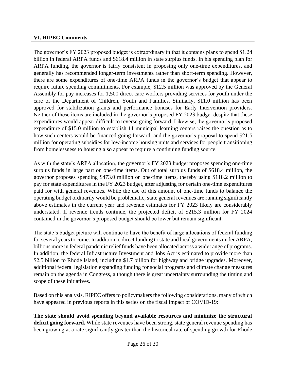## **VI. RIPEC Comments**

The governor's FY 2023 proposed budget is extraordinary in that it contains plans to spend \$1.24 billion in federal ARPA funds and \$618.4 million in state surplus funds. In his spending plan for ARPA funding, the governor is fairly consistent in proposing only one-time expenditures, and generally has recommended longer-term investments rather than short-term spending. However, there are some expenditures of one-time ARPA funds in the governor's budget that appear to require future spending commitments. For example, \$12.5 million was approved by the General Assembly for pay increases for 1,500 direct care workers providing services for youth under the care of the Department of Children, Youth and Families. Similarly, \$11.0 million has been approved for stabilization grants and performance bonuses for Early Intervention providers. Neither of these items are included in the governor's proposed FY 2023 budget despite that these expenditures would appear difficult to reverse going forward. Likewise, the governor's proposed expenditure of \$15.0 million to establish 11 municipal learning centers raises the question as to how such centers would be financed going forward, and the governor's proposal to spend \$21.5 million for operating subsidies for low-income housing units and services for people transitioning from homelessness to housing also appear to require a continuing funding source.

As with the state's ARPA allocation, the governor's FY 2023 budget proposes spending one-time surplus funds in large part on one-time items. Out of total surplus funds of \$618.4 million, the governor proposes spending \$473.0 million on one-time items, thereby using \$118.2 million to pay for state expenditures in the FY 2023 budget, after adjusting for certain one-time expenditures paid for with general revenues. While the use of this amount of one-time funds to balance the operating budget ordinarily would be problematic, state general revenues are running significantly above estimates in the current year and revenue estimates for FY 2023 likely are considerably understated. If revenue trends continue, the projected deficit of \$215.3 million for FY 2024 contained in the governor's proposed budget should be lower but remain significant.

The state's budget picture will continue to have the benefit of large allocations of federal funding for several years to come. In addition to direct funding to state and local governments under ARPA, billions more in federal pandemic relief funds have been allocated across a wide range of programs. In addition, the federal Infrastructure Investment and Jobs Act is estimated to provide more than \$2.5 billion to Rhode Island, including \$1.7 billion for highway and bridge upgrades. Moreover, additional federal legislation expanding funding for social programs and climate change measures remain on the agenda in Congress, although there is great uncertainty surrounding the timing and scope of these initiatives.

Based on this analysis, RIPEC offers to policymakers the following considerations, many of which have appeared in previous reports in this series on the fiscal impact of COVID-19:

**The state should avoid spending beyond available resources and minimize the structural deficit going forward.** While state revenues have been strong, state general revenue spending has been growing at a rate significantly greater than the historical rate of spending growth for Rhode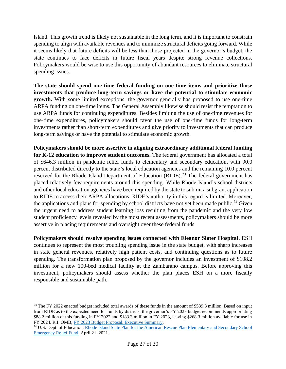Island. This growth trend is likely not sustainable in the long term, and it is important to constrain spending to align with available revenues and to minimize structural deficits going forward. While it seems likely that future deficits will be less than those projected in the governor's budget, the state continues to face deficits in future fiscal years despite strong revenue collections. Policymakers would be wise to use this opportunity of abundant resources to eliminate structural spending issues.

**The state should spend one-time federal funding on one-time items and prioritize those investments that produce long-term savings or have the potential to stimulate economic growth.** With some limited exceptions, the governor generally has proposed to use one-time ARPA funding on one-time items. The General Assembly likewise should resist the temptation to use ARPA funds for continuing expenditures. Besides limiting the use of one-time revenues for one-time expenditures, policymakers should favor the use of one-time funds for long-term investments rather than short-term expenditures and give priority to investments that can produce long-term savings or have the potential to stimulate economic growth.

**Policymakers should be more assertive in aligning extraordinary additional federal funding for K-12 education to improve student outcomes.** The federal government has allocated a total of \$646.3 million in pandemic relief funds to elementary and secondary education, with 90.0 percent distributed directly to the state's local education agencies and the remaining 10.0 percent reserved for the Rhode Island Department of Education (RIDE).<sup>73</sup> The federal government has placed relatively few requirements around this spending. While Rhode Island's school districts and other local education agencies have been required by the state to submit a subgrant application to RIDE to access their ARPA allocations, RIDE's authority in this regard is limited. Moreover, the applications and plans for spending by school districts have not yet been made public.<sup>74</sup> Given the urgent need to address student learning loss resulting from the pandemic and the very low student proficiency levels revealed by the most recent assessments, policymakers should be more assertive in placing requirements and oversight over these federal funds.

**Policymakers should resolve spending issues connected with Eleanor Slater Hospital.** ESH continues to represent the most troubling spending issue in the state budget, with sharp increases in state general revenues, relatively high patient costs, and continuing questions as to future spending. The transformation plan proposed by the governor includes an investment of \$108.2 million for a new 100-bed medical facility at the Zambarano campus. Before approving this investment, policymakers should assess whether the plan places ESH on a more fiscally responsible and sustainable path.

 $^{73}$  The FY 2022 enacted budget included total awards of these funds in the amount of \$539.8 million. Based on input from RIDE as to the expected need for funds by districts, the governor's FY 2023 budget recommends appropriating \$88.2 million of this funding in FY 2022 and \$183.3 million in FY 2023, leaving \$268.3 million available for use in FY 2024. R.I. OMB[, FY 2023 Budget Proposal, Executive Summary.](http://omb.ri.gov/documents/Prior%20Year%20Budgets/Operating%20Budget%202023/ExecutiveSummary/0_Complete%20FY%202023%20Executive%20Summary.pdf)

<sup>&</sup>lt;sup>74</sup> U.S. Dept. of Education, Rhode Island State Plan for the American Rescue Plan Elementary and Secondary School [Emergency Relief Fund,](https://oese.ed.gov/files/2021/07/Rhode-Island-ARP-ESSER-State-Plan-Final.pdf) April 21, 2021.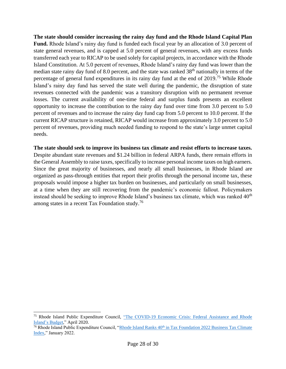**The state should consider increasing the rainy day fund and the Rhode Island Capital Plan Fund.** Rhode Island's rainy day fund is funded each fiscal year by an allocation of 3.0 percent of state general revenues, and is capped at 5.0 percent of general revenues, with any excess funds transferred each year to RICAP to be used solely for capital projects, in accordance with the Rhode Island Constitution. At 5.0 percent of revenues, Rhode Island's rainy day fund was lower than the median state rainy day fund of 8.0 percent, and the state was ranked 38<sup>th</sup> nationally in terms of the percentage of general fund expenditures in its rainy day fund at the end of 2019.<sup>75</sup> While Rhode Island's rainy day fund has served the state well during the pandemic, the disruption of state revenues connected with the pandemic was a transitory disruption with no permanent revenue losses. The current availability of one-time federal and surplus funds presents an excellent opportunity to increase the contribution to the rainy day fund over time from 3.0 percent to 5.0 percent of revenues and to increase the rainy day fund cap from 5.0 percent to 10.0 percent. If the current RICAP structure is retained, RICAP would increase from approximately 3.0 percent to 5.0 percent of revenues, providing much needed funding to respond to the state's large unmet capital needs.

#### **The state should seek to improve its business tax climate and resist efforts to increase taxes.**

Despite abundant state revenues and \$1.24 billion in federal ARPA funds, there remain efforts in the General Assembly to raise taxes, specifically to increase personal income taxes on high earners. Since the great majority of businesses, and nearly all small businesses, in Rhode Island are organized as pass-through entities that report their profits through the personal income tax, these proposals would impose a higher tax burden on businesses, and particularly on small businesses, at a time when they are still recovering from the pandemic's economic fallout. Policymakers instead should be seeking to improve Rhode Island's business tax climate, which was ranked 40<sup>th</sup> among states in a recent Tax Foundation study.<sup>76</sup>

<sup>75</sup> Rhode Island Public Expenditure Council, ["The COVID-19 Economic Crisis: Federal Assistance and Rhode](https://www.ripec.org/pdfs/2020_COVID-19_Economic_Crisis.pdf)  [Island's Budget,](https://www.ripec.org/pdfs/2020_COVID-19_Economic_Crisis.pdf)" April 2020.

<sup>&</sup>lt;sup>76</sup> Rhode Island Public Expenditure Council, "Rhode Island Ranks 40<sup>th</sup> in Tax Foundation 2022 Business Tax Climate [Index,](https://ripec.org/wp-content-uploads-2022-01-2022-business-tax-climate-index-policy-brief-pdf/)" January 2022.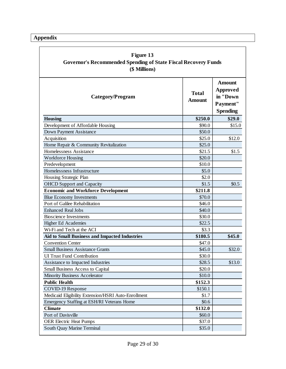**Appendix**

| Figure 13                                                             |
|-----------------------------------------------------------------------|
| <b>Governor's Recommended Spending of State Fiscal Recovery Funds</b> |
| (\$ Millions)                                                         |

| Category/Program                                     | <b>Total</b><br><b>Amount</b> | <b>Amount</b><br>Approved<br>in "Down<br>Payment"<br><b>Spending</b> |
|------------------------------------------------------|-------------------------------|----------------------------------------------------------------------|
| <b>Housing</b>                                       | \$250.0                       | \$29.0                                                               |
| Development of Affordable Housing                    | \$90.0                        | \$15.0                                                               |
| Down Payment Assistance                              | \$50.0                        |                                                                      |
| Acquisition                                          | \$25.0                        | \$12.0                                                               |
| Home Repair & Community Revitalization               | \$25.0                        |                                                                      |
| Homelessness Assistance                              | \$21.5                        | \$1.5                                                                |
| <b>Workforce Housing</b>                             | \$20.0                        |                                                                      |
| Predevelopment                                       | \$10.0                        |                                                                      |
| Homelessness Infrastructure                          | \$5.0                         |                                                                      |
| Housing Strategic Plan                               | \$2.0                         |                                                                      |
| <b>OHCD</b> Support and Capacity                     | \$1.5                         | \$0.5                                                                |
| <b>Economic and Workforce Development</b>            | \$211.8                       |                                                                      |
| <b>Blue Economy Investments</b>                      | \$70.0                        |                                                                      |
| Port of Galilee Rehabilitation                       | \$46.0                        |                                                                      |
| <b>Enhanced Real Jobs</b>                            | \$40.0                        |                                                                      |
| <b>Bioscience Investments</b>                        | \$30.0                        |                                                                      |
| Higher Ed Academies                                  | \$22.5                        |                                                                      |
| Wi-Fi and Tech at the ACI                            | \$3.3                         |                                                                      |
| <b>Aid to Small Business and Impacted Industries</b> | \$180.5                       | \$45.0                                                               |
| <b>Convention Center</b>                             | \$47.0                        |                                                                      |
| <b>Small Business Assistance Grants</b>              | \$45.0                        | \$32.0                                                               |
| <b>UI Trust Fund Contribution</b>                    | \$30.0                        |                                                                      |
| Assistance to Impacted Industries                    | \$28.5                        | \$13.0                                                               |
| <b>Small Business Access to Capital</b>              | \$20.0                        |                                                                      |
| Minority Business Accelerator                        | \$10.0                        |                                                                      |
| <b>Public Health</b>                                 | \$152.3                       |                                                                      |
| COVID-19 Response                                    | \$150.1                       |                                                                      |
| Medicaid Eligibility Extension/HSRI Auto-Enrollment  | \$1.7                         |                                                                      |
| Emergency Staffing at ESH/RI Veterans Home           | \$0.6\$                       |                                                                      |
| <b>Climate</b>                                       | \$132.0                       |                                                                      |
| Port of Davisville                                   | \$60.0                        |                                                                      |
| <b>OER Electric Heat Pumps</b>                       | \$37.0                        |                                                                      |
| South Quay Marine Terminal                           | \$35.0                        |                                                                      |